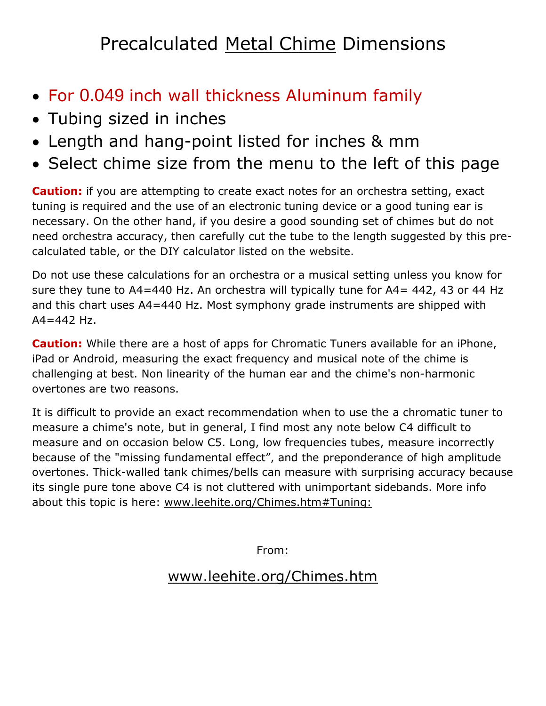## Precalculated Metal Chime Dimensions

- For 0.049 inch wall thickness Aluminum family
- Tubing sized in inches
- Length and hang-point listed for inches & mm
- Select chime size from the menu to the left of this page

**Caution:** if you are attempting to create exact notes for an orchestra setting, exact tuning is required and the use of an electronic tuning device or a good tuning ear is necessary. On the other hand, if you desire a good sounding set of chimes but do not need orchestra accuracy, then carefully cut the tube to the length suggested by this precalculated table, or the DIY calculator listed on the website.

Do not use these calculations for an orchestra or a musical setting unless you know for sure they tune to A4=440 Hz. An orchestra will typically tune for A4= 442, 43 or 44 Hz and this chart uses A4=440 Hz. Most symphony grade instruments are shipped with  $A4 = 442$  Hz.

**Caution:** While there are a host of apps for Chromatic Tuners available for an iPhone, iPad or Android, measuring the exact frequency and musical note of the chime is challenging at best. Non linearity of the human ear and the chime's non-harmonic overtones are two reasons.

It is difficult to provide an exact recommendation when to use the a chromatic tuner to measure a chime's note, but in general, I find most any note below C4 difficult to measure and on occasion below C5. Long, low frequencies tubes, measure incorrectly because of the "missing fundamental effect", and the preponderance of high amplitude overtones. Thick-walled tank chimes/bells can measure with surprising accuracy because its single pure tone above C4 is not cluttered with unimportant sidebands. More info about this topic is here: [www.leehite.org/Chimes.htm#Tuning:](http://leehite.org/Chimes.htm#Tuning:)

From:

## [www.leehite.org/Chimes.htm](http://www.leehite.org/Chimes.htm)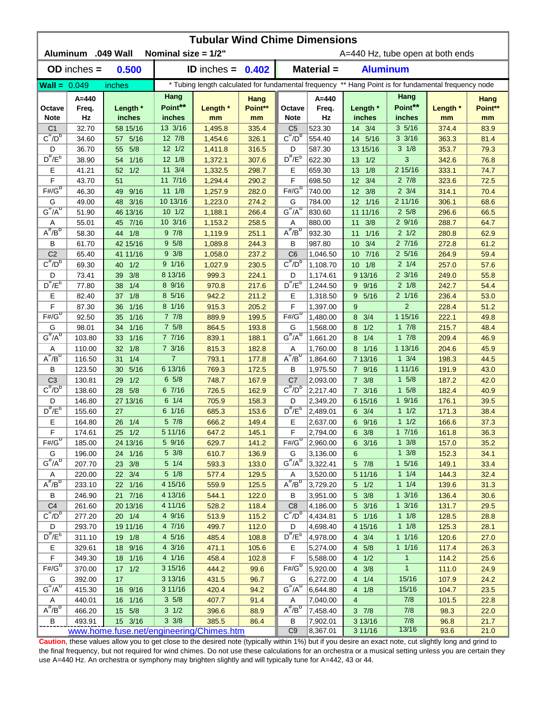| <b>Tubular Wind Chime Dimensions</b><br>Aluminum .049 Wall<br>Nominal size = 1/2"<br>A=440 Hz, tube open at both ends |                 |                                          |                   |                     |                |                                |                  |                         |                                                                                                      |                |              |  |
|-----------------------------------------------------------------------------------------------------------------------|-----------------|------------------------------------------|-------------------|---------------------|----------------|--------------------------------|------------------|-------------------------|------------------------------------------------------------------------------------------------------|----------------|--------------|--|
|                                                                                                                       |                 |                                          |                   |                     |                |                                |                  |                         |                                                                                                      |                |              |  |
|                                                                                                                       | $OD$ inches $=$ | 0.500                                    |                   | ID inches = $0.402$ |                |                                | Material =       | <b>Aluminum</b>         |                                                                                                      |                |              |  |
| <b>Wall = <math>0.049</math></b>                                                                                      |                 | inches                                   |                   |                     |                |                                |                  |                         | * Tubing length calculated for fundamental frequency ** Hang Point is for fundamental frequency node |                |              |  |
|                                                                                                                       | $A = 440$       |                                          | Hang              |                     | Hang           |                                | $A = 440$        |                         | Hang                                                                                                 |                | Hang         |  |
| Octave                                                                                                                | Freq.           | Length *                                 | Point**           | Length *            | Point**        | Octave                         | Freq.            | Length *                | Point**                                                                                              | Length *       | Point**      |  |
| <b>Note</b>                                                                                                           | Hz              | inches                                   | inches            | mm                  | mm             | <b>Note</b>                    | Hz               | inches                  | inches                                                                                               | mm             | mm           |  |
| C <sub>1</sub><br>$C^{\overline{n}}/D^b$                                                                              | 32.70           | 58 15/16<br>57 5/16                      | 13 3/16<br>12 7/8 | 1,495.8             | 335.4          | C <sub>5</sub><br>$C^{\#}/D^D$ | 523.30           | 14 3/4<br>14 5/16       | 35/16<br>$3 \frac{3}{16}$                                                                            | 374.4          | 83.9         |  |
| D                                                                                                                     | 34.60<br>36.70  | 5/8<br>55                                | $12 \frac{1}{2}$  | 1,454.6<br>1,411.8  | 326.1<br>316.5 | D                              | 554.40<br>587.30 | 13 15/16                | $3 \frac{1}{8}$                                                                                      | 363.3<br>353.7 | 81.4<br>79.3 |  |
| $D^{\#}/E^b$                                                                                                          | 38.90           | 1/16<br>54                               | 12 1/8            | 1,372.1             | 307.6          | $D^{\prime\prime}/E^b$         | 622.30           | $13 \quad 1/2$          | 3                                                                                                    | 342.6          | 76.8         |  |
| Ε                                                                                                                     | 41.21           | 1/2<br>52                                | $11 \t3/4$        | 1,332.5             | 298.7          | Ε                              | 659.30           | 1/8<br>13               | 2 15/16                                                                                              | 333.1          | 74.7         |  |
| F                                                                                                                     | 43.70           | 51                                       | 11 7/16           | 1,294.4             | 290.2          | F                              | 698.50           | 3/4<br>12               | $2 \frac{7}{8}$                                                                                      | 323.6          | 72.5         |  |
| $F# / G^D$                                                                                                            | 46.30           | 9/16<br>49                               | $11 \t1/8$        | 1,257.9             | 282.0          | $F# / G^D$                     | 740.00           | 12 3/8                  | $2 \frac{3}{4}$                                                                                      | 314.1          | 70.4         |  |
| G                                                                                                                     | 49.00           | 48 3/16                                  | 10 13/16          | 1,223.0             | 274.2          | G                              | 784.00           | 12 1/16                 | 2 11/16                                                                                              | 306.1          | 68.6         |  |
| $G^{\#}/A^D$                                                                                                          | 51.90           | 46 13/16                                 | 101/2             | 1,188.1             | 266.4          | $G^{\#}/A^D$                   | 830.60           | 11 11/16                | $2\,5/8$                                                                                             | 296.6          | 66.5         |  |
| Α                                                                                                                     | 55.01           | 45 7/16                                  | 10 3/16           | 1,153.2             | 258.5          | Α                              | 880.00           | 3/8<br>11               | 29/16                                                                                                | 288.7          | 64.7         |  |
| $A^H/B^D$                                                                                                             | 58.30           | 44 1/8                                   | 97/8              | 1,119.9             | 251.1          | $A^H/B^D$                      | 932.30           | 1/16<br>11              | $2 \frac{1}{2}$                                                                                      | 280.8          | 62.9         |  |
| В                                                                                                                     | 61.70           | 42 15/16                                 | 95/8              | 1,089.8             | 244.3          | В                              | 987.80           | 3/4<br>10 <sup>°</sup>  | 27/16                                                                                                | 272.8          | 61.2         |  |
| C <sub>2</sub>                                                                                                        | 65.40           | 41 11/16                                 | $9 \frac{3}{8}$   | 1,058.0             | 237.2          | C <sub>6</sub>                 | 1,046.50         | 7/16<br>10 <sup>°</sup> | $2\frac{5}{16}$                                                                                      | 264.9          | 59.4         |  |
| $C^{\#}/D^D$                                                                                                          | 69.30           | 1/2<br>40                                | 9 1/16            | 1,027.9             | 230.5          | $C^{\prime\prime}/D^D$         | 1,108.70         | $10 \t1/8$              | $2 \frac{1}{4}$                                                                                      | 257.0          | 57.6         |  |
| D                                                                                                                     | 73.41           | 3/8<br>39                                | 8 13/16           | 999.3               | 224.1          | D                              | 1,174.61         | 9 13/16                 | $2 \frac{3}{16}$                                                                                     | 249.0          | 55.8         |  |
| $D^{\pi}/E^b$                                                                                                         | 77.80           | 1/4<br>38                                | 8 9/16            | 970.8               | 217.6          | $D^{\pi}/E^b$                  | 1,244.50         | 9/16<br>9               | $2 \frac{1}{8}$                                                                                      | 242.7          | 54.4         |  |
| Е                                                                                                                     | 82.40           | 1/8<br>37                                | 8 5/16            | 942.2               | 211.2          | Е                              | 1,318.50         | 5/16<br>9               | $2 \frac{1}{16}$                                                                                     | 236.4          | 53.0         |  |
| F                                                                                                                     | 87.30           | 1/16<br>36                               | 8 1/16            | 915.3               | 205.2          | F                              | 1,397.00         | 9                       | $\overline{2}$                                                                                       | 228.4          | 51.2         |  |
| $F# / G^D$                                                                                                            | 92.50           | 1/16<br>35                               | 77/8              | 889.9               | 199.5          | $F# / G^D$                     | 1,480.00         | 3/4<br>8                | 1 15/16                                                                                              | 222.1          | 49.8         |  |
| G                                                                                                                     | 98.01           | 1/16<br>34                               | $7\;5/8$          | 864.5               | 193.8          | G                              | 1,568.00         | 1/2<br>8                | 17/8                                                                                                 | 215.7          | 48.4         |  |
| $G^{\#}/A^D$                                                                                                          | 103.80          | 1/16<br>33                               | 77/16             | 839.1               | 188.1          | $G^{\overline{\#}/A^D}$        | 1,661.20         | 1/4<br>8                | 17/8                                                                                                 | 209.4          | 46.9         |  |
| Α                                                                                                                     | 110.00          | 1/8<br>32                                | 7 3/16            | 815.3               | 182.8          | Α                              | 1,760.00         | 8 1/16                  | 1 13/16                                                                                              | 204.6          | 45.9         |  |
| $A^{\#}/B^{\sigma}$                                                                                                   | 116.50          | 1/4<br>31                                | $\overline{7}$    | 793.1               | 177.8          | $A^H/B^D$                      | 1,864.60         | 7 13/16                 | $1 \frac{3}{4}$                                                                                      | 198.3          | 44.5         |  |
| в                                                                                                                     | 123.50          | $5/16$<br>30                             | 6 13/16           | 769.3               | 172.5          | B                              | 1,975.50         | 7 9/16                  | 1 11/16                                                                                              | 191.9          | 43.0         |  |
| C <sub>3</sub>                                                                                                        | 130.81          | 1/2<br>29                                | 65/8              | 748.7               | 167.9          | C <sub>7</sub>                 | 2,093.00         | $7 \frac{3}{8}$         | 15/8                                                                                                 | 187.2          | 42.0         |  |
| $C^{\prime\prime}/D^b$                                                                                                | 138.60          | 5/8<br>28                                | 67/16             | 726.5               | 162.9          | $C^{\#}/D^D$                   | 2.217.40         | $7 \frac{3}{16}$        | 15/8                                                                                                 | 182.4          | 40.9         |  |
| D                                                                                                                     | 146.80          | 27 13/16                                 | $6 \t1/4$         | 705.9               | 158.3          | D                              | 2,349.20         | 6 15/16                 | 19/16                                                                                                | 176.1          | 39.5         |  |
| $D^{\#}/E^b$                                                                                                          | 155.60          | 27                                       | 6 1/16            | 685.3               | 153.6          | $D^{\#}/E^b$                   | 2,489.01         | $6 \t3/4$               | 11/2                                                                                                 | 171.3          | 38.4         |  |
| Е                                                                                                                     | 164.80          | 26 1/4                                   | 5 7/8             | 666.2               | 149.4          | Е                              | 2,637.00         | 6 9/16                  | 11/2                                                                                                 | 166.6          | 37.3         |  |
| F                                                                                                                     | 174.61          | 25 1/2                                   | 5 11/16           | 647.2               | 145.1          | F                              | 2,794.00         | 6 3/8                   | 17/16                                                                                                | 161.8          | 36.3         |  |
| $F# / G^D$                                                                                                            | 185.00          | 24 13/16                                 | 5 9/16            | 629.7               | 141.2          | $F#/G^D$                       | 2,960.00         | $6 \frac{3}{16}$        | $1 \frac{3}{8}$                                                                                      | 157.0          | 35.2         |  |
| G                                                                                                                     | 196.00          | 24 1/16                                  | 5 3/8             | 610.7               | 136.9          | G                              | 3,136.00         | 6                       | $1 \frac{3}{8}$                                                                                      | 152.3          | 34.1         |  |
| $G^{\#}/A^D$                                                                                                          | 207.70          | 23 3/8                                   | $5 \t1/4$         | 593.3               | 133.0          | $G^H/A^D$                      | 3,322.41         | 5 7/8                   | $1 \frac{5}{16}$                                                                                     | 149.1          | 33.4         |  |
| A                                                                                                                     | 220.00          | 22 3/4                                   | $5 \frac{1}{8}$   | 577.4               | 129.5          | A                              | 3,520.00         | 5 11/16                 | $1 \t1/4$                                                                                            | 144.3          | 32.4         |  |
| $A^{\#}/B^D$                                                                                                          | 233.10          | 22 1/16                                  | 4 15/16           | 559.9               | 125.5          | $A^{\overline{n}}/B^D$         | 3,729.20         | $5 \t1/2$               | $1 \t1/4$                                                                                            | 139.6          | 31.3         |  |
| В                                                                                                                     | 246.90          | 21 7/16                                  | 4 13/16           | 544.1               | 122.0          | B                              | 3,951.00         | $5 \frac{3}{8}$         | $1 \frac{3}{16}$                                                                                     | 136.4          | 30.6         |  |
| C <sub>4</sub>                                                                                                        | 261.60          | 20 13/16                                 | 4 11/16           | 528.2               | 118.4          | C <sub>8</sub>                 | 4,186.00         | 5 3/16                  | $1 \frac{3}{16}$                                                                                     | 131.7          | 29.5         |  |
| $C^{\frac{\pi}{}}/D^b$                                                                                                | 277.20          | 20 1/4                                   | 4 9/16            | 513.9               | 115.2          | $C^{\pi}/D^b$                  | 4,434.81         | 5 1/16                  | $1 \t1/8$                                                                                            | 128.5          | 28.8         |  |
| D                                                                                                                     | 293.70          | 19 11/16                                 | 4 7/16            | 499.7               | 112.0          | D                              | 4,698.40         | 4 15/16                 | $1 \t1/8$                                                                                            | 125.3          | 28.1         |  |
| $D^{\frac{\pi}{r}}/E^b$                                                                                               | 311.10          | 19 1/8                                   | 4 5/16            | 485.4               | 108.8          | $D^{\#}/E^b$                   | 4,978.00         | $4 \t3/4$               | $1 \t1/16$                                                                                           | 120.6          | 27.0         |  |
| Е                                                                                                                     | 329.61          | 18 9/16                                  | 4 3/16            | 471.1               | 105.6          | Е                              | 5,274.00         | 4 5/8                   | 11/16                                                                                                | 117.4          | 26.3         |  |
| F                                                                                                                     | 349.30          | 18 1/16                                  | 4 1/16            | 458.4               | 102.8          | F                              | 5,588.00         | 4 1/2                   | $\mathbf{1}$                                                                                         | 114.2          | 25.6         |  |
| $F# / G^D$                                                                                                            | 370.00          | $17 \t1/2$                               | 3 15/16           | 444.2               | 99.6           | $F# / G^D$                     | 5,920.00         | $4 \t3/8$               | $\mathbf{1}$                                                                                         | 111.0          | 24.9         |  |
| G                                                                                                                     | 392.00          | 17                                       | 3 13/16           | 431.5               | 96.7           | G                              | 6,272.00         | 4 1/4                   | 15/16                                                                                                | 107.9          | 24.2         |  |
| $G^{\#}/A^D$                                                                                                          | 415.30          | 16 9/16                                  | 3 11/16           | 420.4               | 94.2           | $G^H/A^D$                      | 6,644.80         | 4 1/8                   | 15/16                                                                                                | 104.7          | 23.5         |  |
| A                                                                                                                     | 440.01          | 16 1/16                                  | $3\,5/8$          | 407.7               | 91.4           | A                              | 7,040.00         | $\overline{4}$          | 7/8                                                                                                  | 101.5          | 22.8         |  |
| $A^{\#}/B^D$                                                                                                          | 466.20          | 15 5/8                                   | $3 \frac{1}{2}$   | 396.6               | 88.9           | $A^H/B^D$                      | 7,458.40         | $3 \t7/8$               | 7/8                                                                                                  | 98.3           | 22.0         |  |
| В                                                                                                                     | 493.91          | 15 3/16                                  | $3 \frac{3}{8}$   | 385.5               | 86.4           | B                              | 7,902.01         | 3 13/16                 | 7/8<br>13/16                                                                                         | 96.8           | 21.7         |  |
|                                                                                                                       |                 | www.home.fuse.net/engineering/Chimes.htm |                   |                     |                | C <sub>9</sub>                 | 8,367.01         | 3 11/16                 |                                                                                                      | 93.6           | 21.0         |  |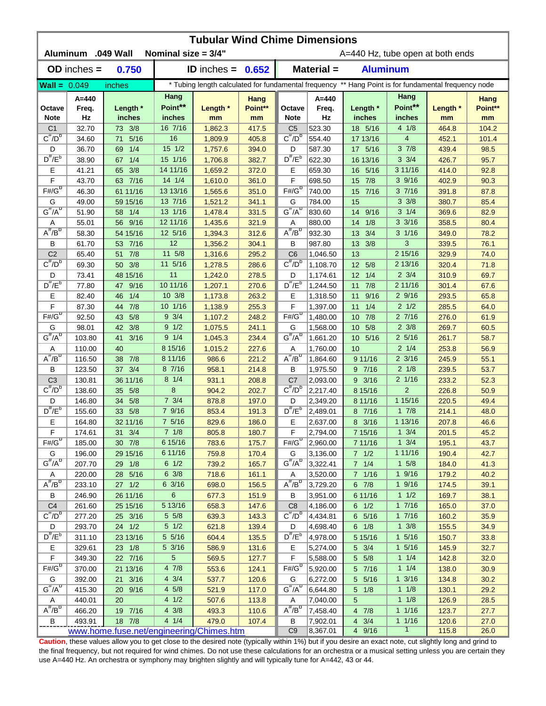| <b>Tubular Wind Chime Dimensions</b><br>Aluminum .049 Wall<br>Nominal size = 3/4"<br>A=440 Hz, tube open at both ends |                          |                                          |                              |                                                                                                      |                       |                        |                          |                         |                           |                |                       |  |
|-----------------------------------------------------------------------------------------------------------------------|--------------------------|------------------------------------------|------------------------------|------------------------------------------------------------------------------------------------------|-----------------------|------------------------|--------------------------|-------------------------|---------------------------|----------------|-----------------------|--|
|                                                                                                                       |                          |                                          |                              |                                                                                                      |                       |                        |                          |                         |                           |                |                       |  |
|                                                                                                                       | $OD$ inches $=$          | 0.750                                    |                              | ID inches = $0.652$                                                                                  |                       |                        | <b>Material =</b>        | <b>Aluminum</b>         |                           |                |                       |  |
| <b>Wall</b> = $0.049$                                                                                                 |                          | inches                                   |                              | * Tubing length calculated for fundamental frequency ** Hang Point is for fundamental frequency node |                       |                        |                          |                         |                           |                |                       |  |
| Octave<br><b>Note</b>                                                                                                 | $A = 440$<br>Freq.<br>Hz | Length *<br>inches                       | Hang<br>Point**<br>inches    | Length *<br>mm                                                                                       | Hang<br>Point**<br>mm | Octave<br><b>Note</b>  | $A = 440$<br>Freq.<br>Hz | Length *<br>inches      | Hang<br>Point**<br>inches | Length *<br>mm | Hang<br>Point**<br>mm |  |
| C <sub>1</sub>                                                                                                        | 32.70                    | 73 3/8                                   | 16 7/16                      | 1,862.3                                                                                              | 417.5                 | C <sub>5</sub>         | 523.30                   | 18 5/16                 | 41/8                      | 464.8          | 104.2                 |  |
| $C^{\#}/D^b$                                                                                                          | 34.60                    | 5/16<br>71                               | 16                           | 1,809.9                                                                                              | 405.8                 | $C^{\#}/D^D$           | 554.40                   | 17 13/16                | 4                         | 452.1          | 101.4                 |  |
| D                                                                                                                     | 36.70                    | 1/4<br>69                                | $15 \frac{1}{2}$             | 1,757.6                                                                                              | 394.0                 | D                      | 587.30                   | 17 5/16                 | 37/8                      | 439.4          | 98.5                  |  |
| $D^{\#}/E^b$                                                                                                          | 38.90                    | 1/4<br>67                                | 15 1/16                      | 1,706.8                                                                                              | 382.7                 | $D^{\prime\prime}/E^b$ | 622.30                   | 16 13/16                | $3 \frac{3}{4}$           | 426.7          | 95.7                  |  |
| Е                                                                                                                     | 41.21                    | 3/8<br>65                                | 14 11/16                     | 1,659.2                                                                                              | 372.0                 | Е                      | 659.30                   | 16 5/16                 | 3 11/16                   | 414.0          | 92.8                  |  |
| F                                                                                                                     | 43.70                    | 63 7/16                                  | 14 1/4                       | 1,610.0                                                                                              | 361.0                 | F                      | 698.50                   | 7/8<br>15               | 39/16                     | 402.9          | 90.3                  |  |
| $F# / G^D$                                                                                                            | 46.30                    | 61 11/16                                 | 13 13/16                     | 1,565.6                                                                                              | 351.0                 | $F# / G^D$             | 740.00                   | 7/16<br>15              | 37/16                     | 391.8          | 87.8                  |  |
| G                                                                                                                     | 49.00                    | 59 15/16                                 | 13 7/16                      | 1,521.2                                                                                              | 341.1                 | G                      | 784.00                   | 15                      | $3 \frac{3}{8}$           | 380.7          | 85.4                  |  |
| $G^{\#}/A^D$                                                                                                          | 51.90                    | 58 1/4                                   | 13 1/16                      | 1,478.4                                                                                              | 331.5                 | $G^H/A^D$              | 830.60                   | 9/16<br>14              | $3 \t1/4$                 | 369.6          | 82.9                  |  |
| Α<br>$A^H/B^D$                                                                                                        | 55.01                    | 56 9/16                                  | 12 11/16                     | 1,435.6                                                                                              | 321.9                 | Α<br>$A^{\#}/B^D$      | 880.00                   | 1/8<br>14               | $3 \frac{3}{16}$          | 358.5          | 80.4                  |  |
|                                                                                                                       | 58.30                    | 54 15/16                                 | 12 5/16<br>12                | 1,394.3                                                                                              | 312.6                 |                        | 932.30                   | 3/4<br>13               | $3 \frac{1}{16}$<br>3     | 349.0          | 78.2                  |  |
| В<br>C <sub>2</sub>                                                                                                   | 61.70<br>65.40           | 53 7/16<br>51 7/8                        | 11 5/8                       | 1,356.2<br>1,316.6                                                                                   | 304.1<br>295.2        | В<br>C <sub>6</sub>    | 987.80<br>1,046.50       | 3/8<br>13<br>13         | 2 15/16                   | 339.5<br>329.9 | 76.1<br>74.0          |  |
| $C^{\#}/D^D$                                                                                                          | 69.30                    | 50 3/8                                   | 11 5/16                      | 1,278.5                                                                                              | 286.6                 | $C^{\prime\prime}/D^D$ | 1,108.70                 | 12 5/8                  | 2 13/16                   | 320.4          | 71.8                  |  |
| D                                                                                                                     | 73.41                    | 48 15/16                                 | 11                           | 1,242.0                                                                                              | 278.5                 | D                      | 1,174.61                 | 1/4<br>12               | $2 \frac{3}{4}$           | 310.9          | 69.7                  |  |
| $D^{\pi}/E^b$                                                                                                         | 77.80                    | 47<br>9/16                               | 10 11/16                     | 1,207.1                                                                                              | 270.6                 | $D^{\#}/E^b$           | 1,244.50                 | 7/8<br>11               | 2 11/16                   | 301.4          | 67.6                  |  |
| Е                                                                                                                     | 82.40                    | 1/4<br>46                                | 10 3/8                       | 1,173.8                                                                                              | 263.2                 | E                      | 1,318.50                 | 9/16<br>11              | 29/16                     | 293.5          | 65.8                  |  |
| F                                                                                                                     | 87.30                    | 7/8<br>44                                | 10 1/16                      | 1,138.9                                                                                              | 255.3                 | F                      | 1,397.00                 | 11<br>1/4               | $2 \frac{1}{2}$           | 285.5          | 64.0                  |  |
| $F# / G^D$                                                                                                            | 92.50                    | 5/8<br>43                                | $9 \frac{3}{4}$              | 1,107.2                                                                                              | 248.2                 | $F# / G^D$             | 1,480.00                 | 7/8<br>10               | 27/16                     | 276.0          | 61.9                  |  |
| G                                                                                                                     | 98.01                    | 3/8<br>42                                | 9 1/2                        | 1,075.5                                                                                              | 241.1                 | G                      | 1,568.00                 | 5/8<br>10               | $2 \frac{3}{8}$           | 269.7          | 60.5                  |  |
| $G^{\#}/A^D$                                                                                                          | 103.80                   | 3/16<br>41                               | 9 1/4                        | 1,045.3                                                                                              | 234.4                 | $G^{\#}/A^D$           | 1,661.20                 | 5/16<br>10 <sup>°</sup> | $2\;5/16$                 | 261.7          | 58.7                  |  |
| Α                                                                                                                     | 110.00                   | 40                                       | 8 15/16                      | 1,015.2                                                                                              | 227.6                 | Α                      | 1,760.00                 | 10                      | $2 \t1/4$                 | 253.8          | 56.9                  |  |
| $A^{\#}/B^{\sigma}$                                                                                                   | 116.50                   | 7/8<br>38                                | 8 11/16                      | 986.6                                                                                                | 221.2                 | $A^H/B^D$              | 1,864.60                 | 9 11/16                 | $2 \frac{3}{16}$          | 245.9          | 55.1                  |  |
| в                                                                                                                     | 123.50                   | 37 3/4                                   | 8 7/16                       | 958.1                                                                                                | 214.8                 | В                      | 1,975.50                 | 9 7/16                  | $2 \frac{1}{8}$           | 239.5          | 53.7                  |  |
| C <sub>3</sub>                                                                                                        | 130.81                   | 36 11/16                                 | $8 \t1/4$                    | 931.1                                                                                                | 208.8                 | C <sub>7</sub>         | 2,093.00                 | 9 3/16                  | $2 \frac{1}{16}$          | 233.2          | 52.3                  |  |
| $C^{\prime\prime}/D^b$                                                                                                | 138.60                   | 5/8<br>35 <sup>2</sup>                   | 8                            | 904.2                                                                                                | 202.7                 | $C^{\#}/D^D$           | 2,217.40                 | 8 15/16                 | $\overline{2}$            | 226.8          | 50.9                  |  |
| D                                                                                                                     | 146.80                   | 5/8<br>34                                | $7 \frac{3}{4}$              | 878.8                                                                                                | 197.0                 | D                      | 2,349.20                 | 8 11/16                 | 1 15/16                   | 220.5          | 49.4                  |  |
| $D^{\#}/E^b$                                                                                                          | 155.60                   | 33 5/8                                   | 7 9/16                       | 853.4                                                                                                | 191.3                 | $D^{\#}/E^b$           | 2,489.01                 | 8 7/16                  | 17/8                      | 214.1          | 48.0                  |  |
| E                                                                                                                     | 164.80                   | 32 11/16                                 | $7\;5/16$                    | 829.6                                                                                                | 186.0                 | Е                      | 2,637.00                 | 8 3/16                  | 1 13/16                   | 207.8          | 46.6                  |  |
| F                                                                                                                     | 174.61                   |                                          | (1/8)                        | 805.8                                                                                                | 180.7                 | F                      | 2,794.00                 | 7 15/16                 | $1 \frac{3}{4}$           | 201.5          | 45.2                  |  |
| $F \overline{\# / G^D}$                                                                                               | 185.00                   | 30 7/8                                   | 6 15/16                      | 783.6                                                                                                | 175.7                 | $F#/\overline{G}^D$    | 2,960.00                 | 7 11/16                 | $1 \frac{3}{4}$           | 195.1          | 43.7                  |  |
| G<br>$G^{\#}/A^D$                                                                                                     | 196.00                   | 29 15/16                                 | 6 11/16                      | 759.8                                                                                                | 170.4                 | G                      | 3,136.00                 | $7 1/2$                 | 1 11/16                   | 190.4          | 42.7                  |  |
|                                                                                                                       | 207.70                   | 29 1/8                                   | $6 \t1/2$<br>$6 \frac{3}{8}$ | 739.2                                                                                                | 165.7                 | $G^{\#}/A^D$           | 3,322.41                 | 7 1/4                   | $1 \t5/8$                 | 184.0          | 41.3                  |  |
| A<br>$A^{\#}/B^D$                                                                                                     | 220.00<br>233.10         | 28 5/16<br>27 1/2                        | 6 3/16                       | 718.6                                                                                                | 161.1<br>156.5        | A<br>$A^{\#}/B^D$      | 3,520.00<br>3,729.20     | 7 1/16<br>$6$ $7/8$     | 19/16<br>19/16            | 179.2<br>174.5 | 40.2<br>39.1          |  |
| В                                                                                                                     | 246.90                   | 26 11/16                                 | 6                            | 698.0<br>677.3                                                                                       | 151.9                 | В                      | 3,951.00                 | 6 11/16                 | 11/2                      | 169.7          | 38.1                  |  |
| C <sub>4</sub>                                                                                                        | 261.60                   | 25 15/16                                 | 5 13/16                      | 658.3                                                                                                | 147.6                 | C <sub>8</sub>         | 4,186.00                 | $6 \t1/2$               | 17/16                     | 165.0          | 37.0                  |  |
| $C^{\frac{\pi}{}}/D^b$                                                                                                | 277.20                   | 25 3/16                                  | $5 \frac{5}{8}$              | 639.3                                                                                                | 143.3                 | $C^{\pi}/D^b$          | 4,434.81                 | 6 5/16                  | 17/16                     | 160.2          | 35.9                  |  |
| D                                                                                                                     | 293.70                   | 24 1/2                                   | $5 \frac{1}{2}$              | 621.8                                                                                                | 139.4                 | D                      | 4,698.40                 | $6 \t1/8$               | $1 \frac{3}{8}$           | 155.5          | 34.9                  |  |
| $D^{\frac{\pi}{r}}/E^b$                                                                                               | 311.10                   | 23 13/16                                 | 5 5/16                       | 604.4                                                                                                | 135.5                 | $D^{\#}/E^b$           | 4,978.00                 | 5 15/16                 | $1 \t5/16$                | 150.7          | 33.8                  |  |
| Е                                                                                                                     | 329.61                   | 23 1/8                                   | 5 3/16                       | 586.9                                                                                                | 131.6                 | Е                      | 5,274.00                 | 5 3/4                   | $1 \t5/16$                | 145.9          | 32.7                  |  |
| F                                                                                                                     | 349.30                   | 22 7/16                                  | 5 <sub>5</sub>               | 569.5                                                                                                | 127.7                 | F                      | 5,588.00                 | 5 5/8                   | $1 \t1/4$                 | 142.8          | 32.0                  |  |
| $F#/\overline{G}^D$                                                                                                   | 370.00                   | 21 13/16                                 | 47/8                         | 553.6                                                                                                | 124.1                 | $F# / G^D$             | 5,920.00                 | 5 7/16                  | $1 \t1/4$                 | 138.0          | 30.9                  |  |
| G                                                                                                                     | 392.00                   | 21 3/16                                  | $4 \frac{3}{4}$              | 537.7                                                                                                | 120.6                 | G                      | 6,272.00                 | 5 5/16                  | $1 \frac{3}{16}$          | 134.8          | 30.2                  |  |
| $G^{\#}/A^D$                                                                                                          | 415.30                   | 20 9/16                                  | $4\,5/8$                     | 521.9                                                                                                | 117.0                 | $G^H/A^D$              | 6,644.80                 | $5 \t1/8$               | $1 \t1/8$                 | 130.1          | 29.2                  |  |
| A                                                                                                                     | 440.01                   | 20                                       | 4 1/2                        | 507.6                                                                                                | 113.8                 | A                      | 7,040.00                 | 5                       | $1 \t1/8$                 | 126.9          | 28.5                  |  |
| $A^H/B^D$                                                                                                             | 466.20                   | 19 7/16                                  | $4 \frac{3}{8}$              | 493.3                                                                                                | 110.6                 | $A^H/B^D$              | 7,458.40                 | 4 7/8                   | 11/16                     | 123.7          | 27.7                  |  |
| В                                                                                                                     | 493.91                   | 18 7/8                                   | 4 1/4                        | 479.0                                                                                                | 107.4                 | В                      | 7,902.01                 | $4 \t3/4$               | 11/16                     | 120.6          | 27.0                  |  |
|                                                                                                                       |                          | www.home.fuse.net/engineering/Chimes.htm |                              |                                                                                                      |                       | C <sub>9</sub>         | 8,367.01                 | 4 9/16                  | $\overline{1}$            | 115.8          | 26.0                  |  |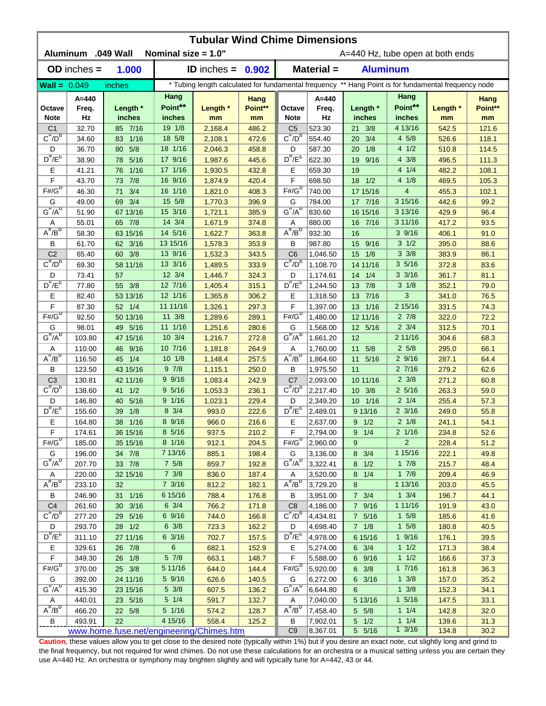| <b>Tubular Wind Chime Dimensions</b> |                    |                                          |                        |                     |                 |                                                       |                                                                                                      |                    |                                    |                |                 |  |
|--------------------------------------|--------------------|------------------------------------------|------------------------|---------------------|-----------------|-------------------------------------------------------|------------------------------------------------------------------------------------------------------|--------------------|------------------------------------|----------------|-----------------|--|
|                                      | Aluminum .049 Wall |                                          | Nominal size $= 1.0$ " |                     |                 | A=440 Hz, tube open at both ends                      |                                                                                                      |                    |                                    |                |                 |  |
|                                      | $OD$ inches $=$    | 1.000                                    |                        | ID inches = $0.902$ |                 |                                                       | Material =                                                                                           | <b>Aluminum</b>    |                                    |                |                 |  |
| <b>Wall = <math>0.049</math></b>     |                    | inches                                   |                        |                     |                 |                                                       | * Tubing length calculated for fundamental frequency ** Hang Point is for fundamental frequency node |                    |                                    |                |                 |  |
| Octave                               | A=440              | Length *                                 | Hang<br>Point**        | Length *            | Hang<br>Point** | Octave                                                | $A=440$<br>Freq.                                                                                     | Length *           | Hang<br>Point**                    | Length *       | Hang<br>Point** |  |
| <b>Note</b>                          | Freq.<br>Hz        | inches                                   | inches                 | mm                  | mm              | <b>Note</b>                                           | Hz                                                                                                   | inches             | inches                             | mm             | mm              |  |
| C <sub>1</sub>                       | 32.70              | 85 7/16                                  | 19 1/8                 | 2,168.4             | 486.2           | C <sub>5</sub>                                        | 523.30                                                                                               | 21 3/8             | 4 13/16                            | 542.5          | 121.6           |  |
| $C^{\#}/D^b$                         | 34.60              | 1/16<br>83                               | 18 5/8                 | 2,108.1             | 472.6           | $C^{\#}/D^D$                                          | 554.40                                                                                               | 3/4<br>20          | 4 5/8                              | 526.6          | 118.1           |  |
| D                                    | 36.70              | 5/8<br>80                                | 18 1/16                | 2,046.3             | 458.8           | D                                                     | 587.30                                                                                               | 1/8<br>20          | 41/2                               | 510.8          | 114.5           |  |
| $D^{\#}/E^b$                         | 38.90              | 5/16<br>78                               | 17 9/16                | 1,987.6             | 445.6           | $D^{\prime\prime}/E^b$                                | 622.30                                                                                               | 9/16<br>19         | 4 3/8                              | 496.5          | 111.3           |  |
| Ε                                    | 41.21              | 1/16<br>76                               | 17 1/16                | 1,930.5             | 432.8           | Ε                                                     | 659.30                                                                                               | 19                 | 4 1/4                              | 482.2          | 108.1           |  |
| F                                    | 43.70              | 7/8<br>73                                | 16 9/16                | 1,874.9             | 420.4           | F                                                     | 698.50                                                                                               | 1/2<br>18          | 41/8                               | 469.5          | 105.3           |  |
| $F# / G^D$                           | 46.30              | 3/4<br>71                                | 16 1/16                | 1,821.0             | 408.3           | $F#/\overline{G}^D$                                   | 740.00                                                                                               | 17 15/16           | $\overline{4}$                     | 455.3          | 102.1           |  |
| G                                    | 49.00              | 69 3/4                                   | 15 5/8                 | 1,770.3             | 396.9           | G                                                     | 784.00                                                                                               | 17 7/16            | 3 15/16                            | 442.6          | 99.2            |  |
| $G^{\#}/A^D$                         | 51.90              | 67 13/16                                 | 15 3/16                | 1,721.1             | 385.9           | $G^H/A^D$                                             | 830.60                                                                                               | 16 15/16           | 3 13/16                            | 429.9          | 96.4            |  |
| Α                                    | 55.01              | 65 7/8                                   | 14 3/4                 | 1,671.9             | 374.8           | Α                                                     | 880.00                                                                                               | 7/16<br>16         | 3 11/16                            | 417.2          | 93.5            |  |
| $A^{\#}/B^{\circ}$                   | 58.30              | 63 15/16                                 | 14 5/16                | 1,622.7             | 363.8           | $A^H/B^D$                                             | 932.30                                                                                               | 16                 | 39/16                              | 406.1          | 91.0            |  |
| В                                    | 61.70              | 62 3/16                                  | 13 15/16               | 1,578.3             | 353.9           | B                                                     | 987.80                                                                                               | 9/16<br>15         | $3 \frac{1}{2}$                    | 395.0          | 88.6            |  |
| C <sub>2</sub>                       | 65.40              | 60 3/8                                   | 13 9/16                | 1,532.3             | 343.5           | C <sub>6</sub>                                        | 1,046.50                                                                                             | 15<br>1/8          | $3 \frac{3}{8}$                    | 383.9          | 86.1            |  |
| $C^{\prime\prime}/D^D$               | 69.30              | 58 11/16                                 | 13 3/16                | 1,489.5             | 333.9           | $\overline{C''}/D^D$                                  | 1,108.70                                                                                             | 14 11/16           | 35/16                              | 372.8          | 83.6            |  |
| D                                    | 73.41              | 57                                       | 12 3/4                 | 1,446.7             | 324.3           | D                                                     | 1,174.61                                                                                             | 14<br>1/4          | $3 \frac{3}{16}$                   | 361.7          | 81.1            |  |
| $D^{\pi}/E^b$                        | 77.80              | 55 3/8                                   | 12 7/16                | 1,405.4             | 315.1           | $D^{\pi}/E^b$                                         | 1,244.50                                                                                             | 7/8<br>13          | $3 \frac{1}{8}$                    | 352.1          | 79.0            |  |
| Е                                    | 82.40              | 53 13/16                                 | 12 1/16                | 1,365.8             | 306.2           | Е                                                     | 1,318.50                                                                                             | 7/16<br>13         | 3                                  | 341.0          | 76.5            |  |
| F                                    | 87.30              | 52 1/4                                   | 11 11/16               | 1,326.1             | 297.3           | F                                                     | 1,397.00                                                                                             | 13<br>1/16         | 215/16                             | 331.5          | 74.3            |  |
| $F# / G^D$                           | 92.50              | 50 13/16                                 | 11 3/8                 | 1,289.6             | 289.1           | $F# / G^D$                                            | 1,480.00                                                                                             | 12 11/16           | $2 \t7/8$                          | 322.0          | 72.2            |  |
| G                                    | 98.01              | 49 5/16                                  | 11 1/16                | 1,251.6             | 280.6           | G                                                     | 1,568.00                                                                                             | 12 5/16            | $2 \frac{3}{4}$                    | 312.5          | 70.1            |  |
| $G^{\#}/A^D$                         | 103.80             | 47 15/16                                 | $10 \frac{3}{4}$       | 1,216.7             | 272.8           | $G^{\#}/A^D$                                          | 1,661.20                                                                                             | 12                 | 2 11/16                            | 304.6          | 68.3            |  |
| Α<br>$A^{\#}/B^D$                    | 110.00             | 9/16<br>46                               | 10 7/16                | 1,181.8             | 264.9           | Α                                                     | 1,760.00                                                                                             | 11<br>5/8          | $2\,5/8$                           | 295.0          | 66.1            |  |
|                                      | 116.50             | 1/4<br>45                                | $10 \t1/8$             | 1,148.4             | 257.5           | $A^{\#}/B^D$                                          | 1,864.60                                                                                             | 5/16<br>11         | 29/16                              | 287.1          | 64.4            |  |
| B                                    | 123.50             | 43 15/16                                 | 97/8                   | 1,115.1             | 250.0           | B                                                     | 1,975.50                                                                                             | 11                 | 27/16                              | 279.2          | 62.6            |  |
| C <sub>3</sub><br>$C^{\#}/D^b$       | 130.81             | 42 11/16                                 | 99/16<br>95/16         | 1,083.4             | 242.9           | C <sub>7</sub><br>$C^{\prime\prime}/D^{\prime\prime}$ | 2,093.00<br>2,217.40                                                                                 | 10 11/16<br>10 3/8 | $2 \frac{3}{8}$<br>$2\frac{5}{16}$ | 271.2          | 60.8            |  |
|                                      | 138.60<br>146.80   | 41 1/2<br>5/16<br>40                     | 9 1/16                 | 1,053.3             | 236.1<br>229.4  | D                                                     | 2,349.20                                                                                             | 10 1/16            | $2 \frac{1}{4}$                    | 263.3<br>255.4 | 59.0<br>57.3    |  |
| D<br>$D^{\#}/E^b$                    | 155.60             | 1/8<br>39                                | $8 \frac{3}{4}$        | 1,023.1<br>993.0    | 222.6           | $D^{\#}/E^b$                                          | 2,489.01                                                                                             | 9 13/16            | $2 \frac{3}{16}$                   | 249.0          | 55.8            |  |
| Е                                    | 164.80             | 38 1/16                                  | 8 9/16                 | 966.0               | 216.6           | Е                                                     | 2,637.00                                                                                             | $9 \t1/2$          | $2 \frac{1}{8}$                    | 241.1          | 54.1            |  |
| F                                    | 174.61             | 36 15/16                                 | $8\;5/16$              | 937.5               | 210.2           | F                                                     | 2,794.00                                                                                             | $9 \t1/4$          | 2 1/16                             | 234.8          | 52.6            |  |
| $F#/\overline{G}^{\sigma}$           | 185.00             | 35 15/16                                 | $8 \t1/16$             | 912.1               | 204.5           | $F# / G^D$                                            | 2,960.00                                                                                             | 9                  | $\overline{2}$                     | 228.4          | 51.2            |  |
| G                                    | 196.00             | 34 7/8                                   | 7 13/16                | 885.1               | 198.4           | G                                                     | 3,136.00                                                                                             | 8 3/4              | 1 15/16                            | 222.1          | 49.8            |  |
| $G^{\#}/A^D$                         | 207.70             | 33 7/8                                   | $7\frac{5}{8}$         | 859.7               | 192.8           | $G^H/A^U$                                             | 3,322.41                                                                                             | $8 \t1/2$          | $1 \t7/8$                          | 215.7          | 48.4            |  |
| A                                    | 220.00             | 32 15/16                                 | $7 \frac{3}{8}$        | 836.0               | 187.4           | Α                                                     | 3,520.00                                                                                             | 8 1/4              | $1 \t7/8$                          | 209.4          | 46.9            |  |
| $A^{\#}/B^D$                         | 233.10             | 32                                       | $7 \frac{3}{16}$       | 812.2               | 182.1           | $A^{\#}/B^D$                                          | 3,729.20                                                                                             | 8                  | 1 13/16                            | 203.0          | 45.5            |  |
| В                                    | 246.90             | 31 1/16                                  | 6 15/16                | 788.4               | 176.8           | В                                                     | 3,951.00                                                                                             | $7 \frac{3}{4}$    | $1 \frac{3}{4}$                    | 196.7          | 44.1            |  |
| C <sub>4</sub>                       | 261.60             | 30 3/16                                  | $6 \frac{3}{4}$        | 766.2               | 171.8           | C <sub>8</sub>                                        | 4,186.00                                                                                             | 7 9/16             | 1 11/16                            | 191.9          | 43.0            |  |
| $C^{\pi}/D^b$                        | 277.20             | 29 5/16                                  | 6 9/16                 | 744.0               | 166.8           | $C^{\pi}/D^b$                                         | 4,434.81                                                                                             | 7 5/16             | $1 \t5/8$                          | 185.6          | 41.6            |  |
| D                                    | 293.70             | 28 1/2                                   | $6 \frac{3}{8}$        | 723.3               | 162.2           | D                                                     | 4,698.40                                                                                             | $7 \t1/8$          | $1 \t5/8$                          | 180.8          | 40.5            |  |
| $D^{\#}/E^b$                         | 311.10             | 27 11/16                                 | 63/16                  | 702.7               | 157.5           | $D^{\#}/E^b$                                          | 4,978.00                                                                                             | 6 15/16            | 19/16                              | 176.1          | 39.5            |  |
| Е                                    | 329.61             | 26 7/8                                   | 6                      | 682.1               | 152.9           | Е                                                     | 5,274.00                                                                                             | $6 \t3/4$          | $1 \t1/2$                          | 171.3          | 38.4            |  |
| F                                    | 349.30             | 26 1/8                                   | $5 \frac{7}{8}$        | 663.1               | 148.7           | F                                                     | 5,588.00                                                                                             | 6 9/16             | $1 \t1/2$                          | 166.6          | 37.3            |  |
| $F#/\overline{G}^D$                  | 370.00             | 25 3/8                                   | 5 11/16                | 644.0               | 144.4           | $F# / G^D$                                            | 5,920.00                                                                                             | $6 \frac{3}{8}$    | 17/16                              | 161.8          | 36.3            |  |
| G                                    | 392.00             | 24 11/16                                 | 5 9/16                 | 626.6               | 140.5           | G                                                     | 6,272.00                                                                                             | 6 3/16             | $1 \frac{3}{8}$                    | 157.0          | 35.2            |  |
| $G^{\#}/A^D$                         | 415.30             | 23 15/16                                 | $5 \frac{3}{8}$        | 607.5               | 136.2           | $G^{\overline{n}}/A^{\overline{D}}$                   | 6,644.80                                                                                             | 6                  | $1 \frac{3}{8}$                    | 152.3          | 34.1            |  |
| Α                                    | 440.01             | 23 5/16                                  | $5 \t1/4$              | 591.7               | 132.7           | A                                                     | 7,040.00                                                                                             | 5 13/16            | $1 \frac{5}{16}$                   | 147.5          | 33.1            |  |
| $A^H/B^D$                            | 466.20             | 22 5/8                                   | 5 1/16                 | 574.2               | 128.7           | $A^H/B^D$                                             | 7,458.40                                                                                             | 5 5/8              | $1 \t1/4$                          | 142.8          | 32.0            |  |
| В                                    | 493.91             | 22                                       | 4 15/16                | 558.4               | 125.2           | B                                                     | 7,902.01                                                                                             | $5 \quad 1/2$      | 11/4                               | 139.6          | 31.3            |  |
|                                      |                    | www.home.fuse.net/engineering/Chimes.htm |                        |                     |                 | C <sub>9</sub>                                        | 8,367.01                                                                                             | 5 5/16             | $1 \frac{3}{16}$                   | 134.8          | 30.2            |  |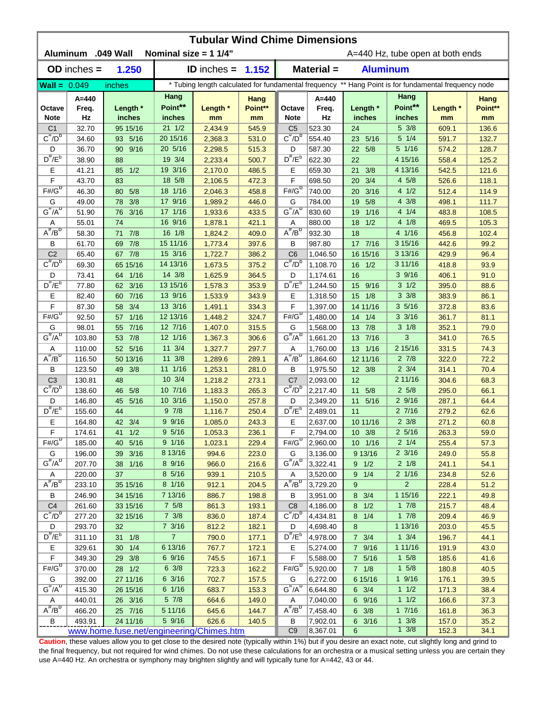|                              | <b>Tubular Wind Chime Dimensions</b><br><b>Aluminum</b><br>.049 Wall<br>Nominal size = $11/4$ "<br>A=440 Hz, tube open at both ends |                                          |                    |                    |                |                                     |                                                                                                      |                        |                                    |                |               |  |  |
|------------------------------|-------------------------------------------------------------------------------------------------------------------------------------|------------------------------------------|--------------------|--------------------|----------------|-------------------------------------|------------------------------------------------------------------------------------------------------|------------------------|------------------------------------|----------------|---------------|--|--|
|                              | $OD$ inches $=$                                                                                                                     | 1.250                                    |                    | ID inches $=$      | 1.152          |                                     | Material =                                                                                           | <b>Aluminum</b>        |                                    |                |               |  |  |
| $Wall = 0.049$               |                                                                                                                                     | inches                                   |                    |                    |                |                                     | * Tubing length calculated for fundamental frequency ** Hang Point is for fundamental frequency node |                        |                                    |                |               |  |  |
|                              | $A = 440$                                                                                                                           |                                          | Hang               |                    | Hang           |                                     | $A = 440$                                                                                            |                        | Hang                               |                | Hang          |  |  |
| Octave<br><b>Note</b>        | Freq.<br>Hz                                                                                                                         | Length *<br>inches                       | Point**<br>inches  | Length *<br>mm     | Point**<br>mm  | Octave<br><b>Note</b>               | Freq.<br>Hz                                                                                          | Length *<br>inches     | Point**<br>inches                  | Length *<br>mm | Point**<br>mm |  |  |
| C <sub>1</sub>               | 32.70                                                                                                                               | 95 15/16                                 | $21 \t1/2$         | 2,434.9            | 545.9          | C <sub>5</sub>                      | 523.30                                                                                               | 24                     | 5 3/8                              | 609.1          | 136.6         |  |  |
| $C^{\#}/D^b$                 | 34.60                                                                                                                               | 93 5/16                                  | 20 15/16           | 2,368.3            | 531.0          | $C^{\#}/D^D$                        | 554.40                                                                                               | 23 5/16                | $5 \t1/4$                          | 591.7          | 132.7         |  |  |
| D                            | 36.70                                                                                                                               | 9/16<br>$90-1$                           | 20 5/16            | 2,298.5            | 515.3          | D                                   | 587.30                                                                                               | 22 5/8                 | 5 1/16                             | 574.2          | 128.7         |  |  |
| $D^{\#}/E^b$                 | 38.90                                                                                                                               | 88                                       | 19 3/4             | 2,233.4            | 500.7          | $D^{\prime\prime}/E^b$              | 622.30                                                                                               | 22                     | 4 15/16                            | 558.4          | 125.2         |  |  |
| Ε                            | 41.21                                                                                                                               | 1/2<br>85                                | 19 3/16            | 2,170.0            | 486.5          | Ε                                   | 659.30                                                                                               | 3/8<br>21              | 4 13/16                            | 542.5          | 121.6         |  |  |
| F                            | 43.70                                                                                                                               | 83                                       | 18 5/8             | 2,106.5            | 472.3          | F                                   | 698.50                                                                                               | 3/4<br>20              | 4 5/8                              | 526.6          | 118.1         |  |  |
| $F# / G^D$                   | 46.30                                                                                                                               | 5/8<br>80                                | 18 1/16            | 2,046.3            | 458.8          | $F# / G^D$                          | 740.00                                                                                               | 3/16<br>20             | 41/2                               | 512.4          | 114.9         |  |  |
| G                            | 49.00                                                                                                                               | 3/8<br>78                                | 17 9/16            | 1,989.2            | 446.0          | G                                   | 784.00                                                                                               | 5/8<br>19              | $4 \frac{3}{8}$                    | 498.1          | 111.7         |  |  |
| $G^{\#}/A^D$                 | 51.90                                                                                                                               | 3/16<br>76                               | 17 1/16            | 1,933.6            | 433.5          | $G^{\#}/A^D$                        | 830.60                                                                                               | $1/16$<br>19           | 4 1/4                              | 483.8          | 108.5         |  |  |
| Α                            | 55.01                                                                                                                               | 74                                       | 16 9/16            | 1,878.1            | 421.1          | Α                                   | 880.00                                                                                               | 1/2<br>18              | 41/8                               | 469.5          | 105.3         |  |  |
| $A^{\#}/B^D$                 | 58.30                                                                                                                               | 7/8<br>71                                | 16 1/8             | 1,824.2            | 409.0          | $A^{\overline{n}}/B^{\overline{D}}$ | 932.30                                                                                               | 18                     | 4 1/16                             | 456.8          | 102.4         |  |  |
| В                            | 61.70                                                                                                                               | 7/8<br>69                                | 15 11/16           | 1,773.4            | 397.6          | В                                   | 987.80                                                                                               | 17 7/16                | 3 15/16                            | 442.6          | 99.2          |  |  |
| C <sub>2</sub>               | 65.40                                                                                                                               | 67 7/8                                   | 15 3/16            | 1,722.7            | 386.2          | C <sub>6</sub>                      | 1,046.50                                                                                             | 16 15/16               | 3 13/16                            | 429.9          | 96.4          |  |  |
| $C^{\prime\prime}/D^D$       | 69.30                                                                                                                               | 65 15/16                                 | 14 13/16           | 1,673.5            | 375.2          | $C^{\prime\prime}/D^D$              | 1,108.70                                                                                             | 1/2<br>16              | 3 11/16                            | 418.8          | 93.9          |  |  |
| D<br>$D^{\frac{\pi}{r}}/E^b$ | 73.41                                                                                                                               | 64 1/16                                  | 14 3/8             | 1,625.9            | 364.5          | D                                   | 1,174.61                                                                                             | 16                     | 39/16                              | 406.1          | 91.0          |  |  |
|                              | 77.80                                                                                                                               | 3/16<br>62                               | 13 15/16           | 1,578.3            | 353.9          | $D^{\#}/E^b$                        | 1,244.50                                                                                             | 9/16<br>15             | $3 \frac{1}{2}$<br>$3 \frac{3}{8}$ | 395.0          | 88.6          |  |  |
| Е<br>F                       | 82.40                                                                                                                               | 60 7/16                                  | 13 9/16<br>13 3/16 | 1,533.9            | 343.9          | Е<br>F                              | 1,318.50                                                                                             | 1/8<br>15              | 35/16                              | 383.9          | 86.1          |  |  |
| $F# / G^D$                   | 87.30                                                                                                                               | 3/4<br>58                                | 12 13/16           | 1,491.1            | 334.3          | $F#/\overline{G}^D$                 | 1,397.00                                                                                             | 14 11/16               | $3 \frac{3}{16}$                   | 372.8          | 83.6          |  |  |
| G                            | 92.50<br>98.01                                                                                                                      | $1/16$<br>57<br>7/16<br>55               | 12 7/16            | 1,448.2<br>1,407.0 | 324.7<br>315.5 | G                                   | 1,480.00<br>1,568.00                                                                                 | 14<br>1/4<br>7/8<br>13 | $3 \frac{1}{8}$                    | 361.7<br>352.1 | 81.1<br>79.0  |  |  |
| $G^{\#}/A^D$                 | 103.80                                                                                                                              | 7/8<br>53                                | 12 1/16            | 1,367.3            | 306.6          | $G^{\#}/A^D$                        | 1,661.20                                                                                             | 13 7/16                | 3                                  | 341.0          | 76.5          |  |  |
| Α                            | 110.00                                                                                                                              | 5/16<br>52 <sub>2</sub>                  | 11 3/4             | 1,327.7            | 297.7          | Α                                   | 1,760.00                                                                                             | 13 1/16                | 2 15/16                            | 331.5          | 74.3          |  |  |
| $A^H/B^D$                    | 116.50                                                                                                                              | 50 13/16                                 | $11 \frac{3}{8}$   | 1,289.6            | 289.1          | $A^{\overline{n}}/B^{\overline{D}}$ | 1,864.60                                                                                             | 12 11/16               | $2 \t7/8$                          | 322.0          | 72.2          |  |  |
| В                            | 123.50                                                                                                                              | 3/8<br>49                                | 11 1/16            | 1,253.1            | 281.0          | В                                   | 1,975.50                                                                                             | 12 3/8                 | $2 \frac{3}{4}$                    | 314.1          | 70.4          |  |  |
| C <sub>3</sub>               | 130.81                                                                                                                              | 48                                       | 10 3/4             | 1,218.2            | 273.1          | C <sub>7</sub>                      | 2,093.00                                                                                             | 12                     | 2 11/16                            | 304.6          | 68.3          |  |  |
| $C^{\prime\prime}/D^b$       | 138.60                                                                                                                              | 5/8<br>46                                | 10 7/16            | 1,183.3            | 265.3          | $C^{\prime\prime}/D^{\prime\prime}$ | 2,217.40                                                                                             | 5/8<br>11              | 25/8                               | 295.0          | 66.1          |  |  |
| D                            | 146.80                                                                                                                              | 5/16<br>45                               | 10 3/16            | 1,150.0            | 257.8          | D                                   | 2,349.20                                                                                             | 5/16<br>11             | 29/16                              | 287.1          | 64.4          |  |  |
| $D^{\prime\prime}/E^b$       | 155.60                                                                                                                              | 44                                       | 97/8               | 1,116.7            | 250.4          | $D^{\#}/E^b$                        | 2,489.01                                                                                             | 11                     | 27/16                              | 279.2          | 62.6          |  |  |
| Е                            | 164.80                                                                                                                              | 42 3/4                                   | 99/16              | 1,085.0            | 243.3          | Е                                   | 2,637.00                                                                                             | 10 11/16               | $2 \frac{3}{8}$                    | 271.2          | 60.8          |  |  |
| F                            | 174.61                                                                                                                              | 41 1/2                                   | $9\frac{5}{16}$    | 1,053.3            | 236.1          | F                                   | 2,794.00                                                                                             | $10 \t3/8$             | $2\frac{5}{16}$                    | 263.3          | 59.0          |  |  |
| $F#/\overline{G}^D$          | 185.00                                                                                                                              | 40 5/16                                  | 9 1/16             | 1,023.1            | 229.4          | $F#/\overline{G}^D$                 | 2,960.00                                                                                             | 10 1/16                | $2 \frac{1}{4}$                    | 255.4          | 57.3          |  |  |
| G                            | 196.00                                                                                                                              | 39 3/16                                  | 8 13/16            | 994.6              | 223.0          | G                                   | 3,136.00                                                                                             | 9 13/16                | $2 \frac{3}{16}$                   | 249.0          | 55.8          |  |  |
| $G^{\#}/A^D$                 | 207.70                                                                                                                              | 38 1/16                                  | 8 9/16             | 966.0              | 216.6          | $G^H/A^D$                           | 3,322.41                                                                                             | $9 \t1/2$              | $2 \frac{1}{8}$                    | 241.1          | 54.1          |  |  |
| Α                            | 220.00                                                                                                                              | 37                                       | 8 5/16             | 939.1              | 210.5          | Α                                   | 3,520.00                                                                                             | $9 \t1/4$              | $2 \frac{1}{16}$                   | 234.8          | 52.6          |  |  |
| $A^{\#}/B^D$                 | 233.10                                                                                                                              | 35 15/16                                 | 8 1/16             | 912.1              | 204.5          | $A^{\overline{n}}/B^D$              | 3,729.20                                                                                             | 9                      | $\overline{a}$                     | 228.4          | 51.2          |  |  |
| В                            | 246.90                                                                                                                              | 34 15/16                                 | 7 13/16            | 886.7              | 198.8          | В                                   | 3,951.00                                                                                             | $8 \t3/4$              | 1 15/16                            | 222.1          | 49.8          |  |  |
| C <sub>4</sub>               | 261.60                                                                                                                              | 33 15/16                                 | $7\frac{5}{8}$     | 861.3              | 193.1          | C <sub>8</sub>                      | 4,186.00                                                                                             | $8 \t1/2$              | $1 \t7/8$                          | 215.7          | 48.4          |  |  |
| $C^{\overline{r}}/D^b$       | 277.20                                                                                                                              | 32 15/16                                 | $7 \frac{3}{8}$    | 836.0              | 187.4          | $C^{\pi}/D^b$                       | 4,434.81                                                                                             | $8 \t1/4$              | $1 \t7/8$                          | 209.4          | 46.9          |  |  |
| D                            | 293.70                                                                                                                              | 32                                       | $7 \frac{3}{16}$   | 812.2              | 182.1          | D                                   | 4,698.40                                                                                             | 8                      | 1 13/16                            | 203.0          | 45.5          |  |  |
| $D^{\frac{\pi}{r}}/E^b$      | 311.10                                                                                                                              | 31 1/8                                   | $\overline{7}$     | 790.0              | 177.1          | $D^{\#}/E^b$                        | 4,978.00                                                                                             | $7 \frac{3}{4}$        | $1 \frac{3}{4}$                    | 196.7          | 44.1          |  |  |
| Е                            | 329.61                                                                                                                              | $30 \t1/4$                               | 6 13/16            | 767.7              | 172.1          | Е                                   | 5,274.00                                                                                             | 7 9/16                 | 1 11/16                            | 191.9          | 43.0          |  |  |
| F                            | 349.30                                                                                                                              | 29 3/8                                   | 6 9/16             | 745.5              | 167.1          | F                                   | 5,588.00                                                                                             | 7 5/16                 | $1 \t5/8$                          | 185.6          | 41.6          |  |  |
| $F# / G^D$                   | 370.00                                                                                                                              | 28 1/2                                   | $6 \frac{3}{8}$    | 723.3              | 162.2          | $F# / G^D$                          | 5,920.00                                                                                             | $7 \t1/8$              | $1 \t5/8$                          | 180.8          | 40.5          |  |  |
| G                            | 392.00                                                                                                                              | 27 11/16                                 | 6 3/16             | 702.7              | 157.5          | G                                   | 6,272.00                                                                                             | 6 15/16                | $1 \frac{9}{16}$                   | 176.1          | 39.5          |  |  |
| $G^{\#}/A^D$                 | 415.30                                                                                                                              | 26 15/16                                 | 6 1/16             | 683.7              | 153.3          | $G^H/A^D$                           | 6,644.80                                                                                             | $6 \t3/4$              | 11/2                               | 171.3          | 38.4          |  |  |
| A                            | 440.01                                                                                                                              | 26 3/16                                  | $5 \frac{7}{8}$    | 664.6              | 149.0          | A                                   | 7,040.00                                                                                             | 6 9/16                 | $1 \t1/2$                          | 166.6          | 37.3          |  |  |
| $A^{\#}/B^D$                 | 466.20                                                                                                                              | 25 7/16                                  | 5 11/16            | 645.6              | 144.7          | $A^H/B^D$                           | 7,458.40                                                                                             | $6 \frac{3}{8}$        | 17/16                              | 161.8          | 36.3          |  |  |
| B                            | 493.91                                                                                                                              | 24 11/16                                 | 5 9/16             | 626.6              | 140.5          | В<br>C <sub>9</sub>                 | 7,902.01                                                                                             | 6 3/16                 | $1 \frac{3}{8}$<br>$1 \frac{3}{8}$ | 157.0          | 35.2          |  |  |
|                              |                                                                                                                                     | www.home.fuse.net/engineering/Chimes.htm |                    |                    |                |                                     | 8,367.01                                                                                             | 6                      |                                    | 152.3          | 34.1          |  |  |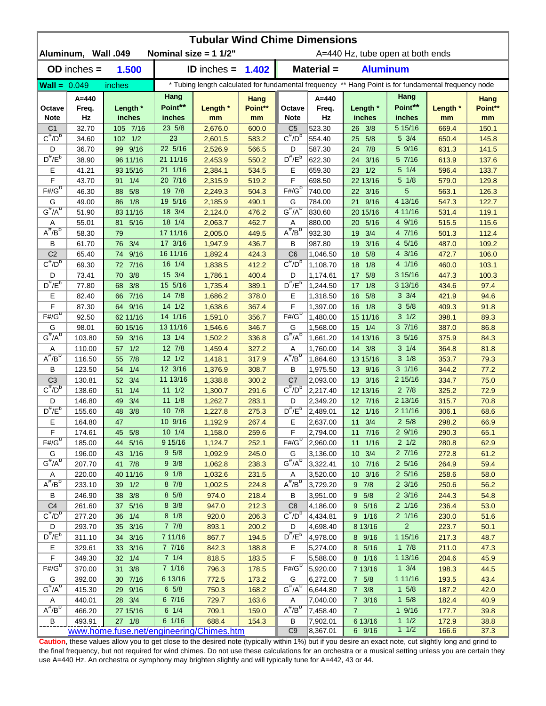| <b>Tubular Wind Chime Dimensions</b> |                     |                                          |                  |                                                                                                      |                 |                                     |                  |                                  |                            |                |                 |  |
|--------------------------------------|---------------------|------------------------------------------|------------------|------------------------------------------------------------------------------------------------------|-----------------|-------------------------------------|------------------|----------------------------------|----------------------------|----------------|-----------------|--|
|                                      | Aluminum, Wall .049 |                                          |                  | Nominal size = $11/2$ "                                                                              |                 |                                     |                  | A=440 Hz, tube open at both ends |                            |                |                 |  |
|                                      | $OD$ inches $=$     | 1.500                                    |                  | <b>ID</b> inches $=$                                                                                 | 1.402           | Material =<br><b>Aluminum</b>       |                  |                                  |                            |                |                 |  |
| $Wall = 0.049$                       |                     | inches                                   |                  | * Tubing length calculated for fundamental frequency ** Hang Point is for fundamental frequency node |                 |                                     |                  |                                  |                            |                |                 |  |
| Octave                               | A=440<br>Freq.      | Length *                                 | Hang<br>Point**  | Length *                                                                                             | Hang<br>Point** | Octave                              | $A=440$<br>Freq. | Length *                         | Hang<br>Point**            | Length *       | Hang<br>Point** |  |
| <b>Note</b>                          | Hz                  | inches                                   | inches           | mm                                                                                                   | mm              | <b>Note</b>                         | Hz               | inches                           | inches                     | mm             | mm              |  |
| C <sub>1</sub><br>$C^{\#}/D^b$       | 32.70               | 105 7/16                                 | 23 5/8<br>23     | 2,676.0                                                                                              | 600.0           | C <sub>5</sub><br>$C^{\#}/D^D$      | 523.30           | 26 3/8                           | 5 15/16<br>$5 \frac{3}{4}$ | 669.4          | 150.1           |  |
|                                      | 34.60               | 102 1/2                                  | 22 5/16          | 2,601.5                                                                                              | 583.2           |                                     | 554.40           | 5/8<br>25                        | 5 9/16                     | 650.4          | 145.8           |  |
| D<br>$D^{\#}/E^b$                    | 36.70               | 99 9/16                                  | 21 11/16         | 2,526.9                                                                                              | 566.5           | D<br>$D^{\#}/E^b$                   | 587.30           | 24 7/8                           | 5 7/16                     | 631.3          | 141.5           |  |
| Е                                    | 38.90<br>41.21      | 96 11/16<br>93 15/16                     | 21 1/16          | 2,453.9<br>2,384.1                                                                                   | 550.2<br>534.5  | Е                                   | 622.30<br>659.30 | 24 3/16<br>23 1/2                | $5 \t1/4$                  | 613.9<br>596.4 | 137.6<br>133.7  |  |
| F                                    | 43.70               | 1/4<br>91                                | 20 7/16          | 2,315.9                                                                                              | 519.2           | F                                   | 698.50           | 22 13/16                         | $5 \frac{1}{8}$            | 579.0          | 129.8           |  |
| $F# / G^D$                           | 46.30               | 5/8<br>88                                | 19 7/8           | 2,249.3                                                                                              | 504.3           | $F#/\overline{G}^D$                 | 740.00           | 22 3/16                          | 5                          | 563.1          | 126.3           |  |
| G                                    | 49.00               | 86 1/8                                   | 19 5/16          | 2,185.9                                                                                              | 490.1           | G                                   | 784.00           | 21 9/16                          | 4 13/16                    | 547.3          | 122.7           |  |
| $G^{\#}/A^D$                         | 51.90               | 83 11/16                                 | 18 3/4           | 2,124.0                                                                                              | 476.2           | $G''/A^D$                           | 830.60           | 20 15/16                         | 4 11/16                    | 531.4          | 119.1           |  |
| Α                                    | 55.01               | 5/16<br>81                               | 18 1/4           | 2,063.7                                                                                              | 462.7           | Α                                   | 880.00           | 5/16<br>20                       | 4 9/16                     | 515.5          | 115.6           |  |
| $A^{\#}/B^D$                         | 58.30               | 79                                       | 17 11/16         | 2,005.0                                                                                              | 449.5           | $A^{\#}/B^D$                        | 932.30           | 3/4<br>19                        | 4 7/16                     | 501.3          | 112.4           |  |
| В                                    | 61.70               | 3/4<br>76                                | 17 3/16          | 1,947.9                                                                                              | 436.7           | В                                   | 987.80           | 3/16<br>19                       | 4 5/16                     | 487.0          | 109.2           |  |
| C <sub>2</sub>                       | 65.40               | 74 9/16                                  | 16 11/16         | 1,892.4                                                                                              | 424.3           | C <sub>6</sub>                      | 1,046.50         | 5/8<br>18                        | 4 3/16                     | 472.7          | 106.0           |  |
| $C^{\#}/D^D$                         | 69.30               | 72 7/16                                  | 16 1/4           | 1,838.5                                                                                              | 412.2           | $C^{\#}/D^D$                        | 1,108.70         | 18<br>1/8                        | 4 1/16                     | 460.0          | 103.1           |  |
| D                                    | 73.41               | 3/8<br>70                                | 15 3/4           | 1,786.1                                                                                              | 400.4           | D                                   | 1,174.61         | 17<br>5/8                        | 3 15/16                    | 447.3          | 100.3           |  |
| $D^{\frac{\pi}{}}/E^b$               | 77.80               | 3/8<br>68                                | 15 5/16          | 1,735.4                                                                                              | 389.1           | $D^{\pi}/E^b$                       | 1,244.50         | 1/8<br>17                        | 3 13/16                    | 434.6          | 97.4            |  |
| Е                                    | 82.40               | 7/16<br>66                               | 14 7/8           | 1,686.2                                                                                              | 378.0           | Е                                   | 1,318.50         | 5/8<br>16                        | $3 \frac{3}{4}$            | 421.9          | 94.6            |  |
| F                                    | 87.30               | 9/16<br>64                               | $14 \frac{1}{2}$ | 1,638.6                                                                                              | 367.4           | F                                   | 1,397.00         | 16 1/8                           | 35/8                       | 409.3          | 91.8            |  |
| $F# / G^D$                           | 92.50               | 62 11/16                                 | 14 1/16          | 1,591.0                                                                                              | 356.7           | $F#/\overline{G}^D$                 | 1,480.00         | 15 11/16                         | $3 \frac{1}{2}$            | 398.1          | 89.3            |  |
| G                                    | 98.01               | 60 15/16                                 | 13 11/16         | 1,546.6                                                                                              | 346.7           | G                                   | 1,568.00         | 15 1/4                           | 37/16                      | 387.0          | 86.8            |  |
| $G^{\#}/A^D$                         | 103.80              | 59 3/16                                  | 13 1/4           | 1,502.2                                                                                              | 336.8           | $G^{\#}/A^D$                        | 1,661.20         | 14 13/16                         | 35/16                      | 375.9          | 84.3            |  |
| Α                                    | 110.00              | 1/2<br>57                                | 12 7/8           | 1,459.4                                                                                              | 327.2           | Α                                   | 1,760.00         | 14 3/8                           | $3 \t1/4$                  | 364.8          | 81.8            |  |
| $A^{\#}/B^D$                         | 116.50              | 7/8<br>55                                | $12 \frac{1}{2}$ | 1,418.1                                                                                              | 317.9           | $A^H/B^D$                           | 1,864.60         | 13 15/16                         | $3 \frac{1}{8}$            | 353.7          | 79.3            |  |
| В                                    | 123.50              | 1/4<br>54                                | 12 3/16          | 1,376.9                                                                                              | 308.7           | B                                   | 1,975.50         | 13 9/16                          | $3 \frac{1}{16}$           | 344.2          | 77.2            |  |
| C <sub>3</sub>                       | 130.81              | 3/4<br>52 <sub>2</sub>                   | 11 13/16         | 1,338.8                                                                                              | 300.2           | C <sub>7</sub>                      | 2,093.00         | 13 3/16                          | 2 15/16                    | 334.7          | 75.0            |  |
| $C^{\#}/D^b$                         | 138.60              | 1/4<br>51                                | $11 \frac{1}{2}$ | 1,300.7                                                                                              | 291.6           | $C^{\prime\prime}/D^{\prime\prime}$ | 2,217.40         | 12 13/16                         | $2 \frac{7}{8}$            | 325.2          | 72.9            |  |
| D                                    | 146.80              | 3/4<br>49                                | $11 \t1/8$       | 1,262.7                                                                                              | 283.1           | D                                   | 2,349.20         | 12 7/16                          | 2 13/16                    | 315.7          | 70.8            |  |
| $D^{\#}/E^b$                         | 155.60              | 3/8<br>48                                | $10 \t7/8$       | 1,227.8                                                                                              | 275.3           | $D^{\prime\prime}/E^b$              | 2,489.01         | 12 1/16                          | 2 11/16                    | 306.1          | 68.6            |  |
| Е                                    | 164.80              | 47                                       | 10 9/16          | 1,192.9                                                                                              | 267.4           | Е                                   | 2,637.00         | 11 3/4                           | $2\,5/8$                   | 298.2          | 66.9            |  |
| F                                    | 174.61              | 45 5/8                                   | $10 \t1/4$       | 1,158.0                                                                                              | 259.6           | F                                   | 2,794.00         | 11 7/16                          | 29/16                      | 290.3          | 65.1            |  |
| $F# / G^D$                           | 185.00              | 44 5/16                                  | 9 15/16          | 1,124.7                                                                                              | 252.1           | $F#/G^D$                            | 2,960.00         | 11 1/16                          | $2 \frac{1}{2}$            | 280.8          | 62.9            |  |
| G                                    | 196.00              | 43 1/16                                  | $9\,5/8$         | 1,092.9                                                                                              | 245.0           | G                                   | 3,136.00         | $10 \t3/4$                       | 27/16                      | 272.8          | 61.2            |  |
| $G^{\#}/A^D$                         | 207.70              | 41 7/8                                   | $9 \frac{3}{8}$  | 1,062.8                                                                                              | 238.3           | $\overline{G^{\#}/A^D}$             | 3,322.41         | 10 7/16                          | $2\;5/16$                  | 264.9          | 59.4            |  |
| A                                    | 220.00              | 40 11/16                                 | 9 1/8            | 1,032.6                                                                                              | 231.5           | Α                                   | 3,520.00         | 10 3/16                          | $2\;5/16$                  | 258.6          | 58.0            |  |
| $A^{\#}/B^D$                         | 233.10              | 39 1/2                                   | 87/8             | 1,002.5                                                                                              | 224.8           | $A^{\#}/B^D$                        | 3,729.20         | $9 \t7/8$                        | $2 \frac{3}{16}$           | 250.6          | 56.2            |  |
| В                                    | 246.90              | 38 3/8                                   | $8\,5/8$         | 974.0                                                                                                | 218.4           | В                                   | 3,951.00         | 9 5/8                            | $2 \frac{3}{16}$           | 244.3          | 54.8            |  |
| C <sub>4</sub>                       | 261.60              | 37 5/16                                  | 8 3/8            | 947.0                                                                                                | 212.3           | C <sub>8</sub>                      | 4,186.00         | 9 5/16                           | $2 \frac{1}{16}$           | 236.4          | 53.0            |  |
| $C^{\frac{\pi}{}}/D^b$               | 277.20              | 36 1/4                                   | $8 \t1/8$        | 920.0                                                                                                | 206.3           | $C^{\pi}/D^b$                       | 4,434.81         | 9 1/16                           | 2 1/16                     | 230.0          | 51.6            |  |
| D                                    | 293.70              | 35 3/16                                  | $7 \t7/8$        | 893.1                                                                                                | 200.2           | D                                   | 4,698.40         | 8 13/16                          | $\overline{2}$             | 223.7          | 50.1            |  |
| $D^{\#}/E^b$                         | 311.10              | 34 3/16                                  | 7 11/16          | 867.7                                                                                                | 194.5           | $D^{\#}/E^b$                        | 4,978.00         | 8 9/16                           | 1 15/16                    | 217.3          | 48.7            |  |
| Е                                    | 329.61              | 33 3/16                                  | 77/16            | 842.3                                                                                                | 188.8           | Е                                   | 5,274.00         | 8 5/16                           | $1 \t7/8$                  | 211.0          | 47.3            |  |
| $\mathsf F$                          | 349.30              | 32 1/4                                   | 7 1/4            | 818.5                                                                                                | 183.5           | F                                   | 5,588.00         | 8 1/16                           | 1 13/16                    | 204.6          | 45.9            |  |
| $F#/\overline{G}^D$                  | 370.00              | 31<br>3/8                                | 7 1/16           | 796.3                                                                                                | 178.5           | $F# / G^D$                          | 5,920.00         | 7 13/16                          | $1 \frac{3}{4}$            | 198.3          | 44.5            |  |
| G                                    | 392.00              | 30 7/16                                  | 6 13/16          | 772.5                                                                                                | 173.2           | G                                   | 6,272.00         | $7\quad5/8$                      | 1 11/16                    | 193.5          | 43.4            |  |
| $G^{\#}/A^D$                         | 415.30              | 29 9/16                                  | $6\;5/8$         | 750.3                                                                                                | 168.2           | $G^H/A^D$                           | 6,644.80         | $7 \frac{3}{8}$                  | $1 \t5/8$                  | 187.2          | 42.0            |  |
| Α                                    | 440.01              | 28 3/4                                   | 6 7/16           | 729.7                                                                                                | 163.6           | Α                                   | 7,040.00         | $7 \frac{3}{16}$                 | $1 \t5/8$                  | 182.4          | 40.9            |  |
| $A^{\#}/B^D$                         | 466.20              | 27 15/16                                 | $6 \t1/4$        | 709.1                                                                                                | 159.0           | $A^H/B^D$                           | 7,458.40         | $\overline{7}$                   | 19/16                      | 177.7          | 39.8            |  |
| В                                    | 493.91              | 27 1/8                                   | 6 1/16           | 688.4                                                                                                | 154.3           | В                                   | 7,902.01         | 6 13/16                          | 11/2                       | 172.9          | 38.8            |  |
|                                      |                     | www.home.fuse.net/engineering/Chimes.htm |                  |                                                                                                      |                 | C <sub>9</sub>                      | 8,367.01         | 6 9/16                           | 11/2                       | 166.6          | 37.3            |  |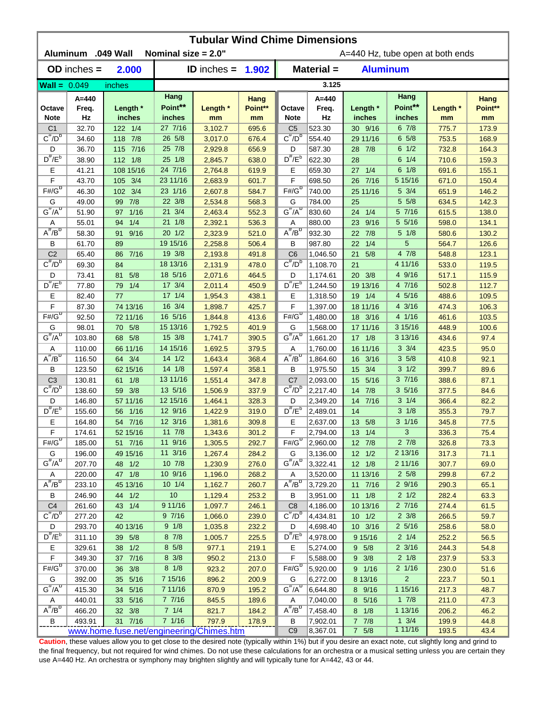| <b>Tubular Wind Chime Dimensions</b> |                    |                                          |                        |                     |                |                                  |                      |                      |                                    |                |                |  |
|--------------------------------------|--------------------|------------------------------------------|------------------------|---------------------|----------------|----------------------------------|----------------------|----------------------|------------------------------------|----------------|----------------|--|
|                                      | Aluminum .049 Wall |                                          | Nominal size = 2.0"    |                     |                | A=440 Hz, tube open at both ends |                      |                      |                                    |                |                |  |
|                                      | $OD$ inches $=$    | 2.000                                    |                        | ID inches = $1.902$ |                | Material =<br><b>Aluminum</b>    |                      |                      |                                    |                |                |  |
| $\text{Wall} = 0.049$                |                    | inches                                   |                        |                     |                |                                  | 3.125                |                      |                                    |                |                |  |
|                                      | $A = 440$          |                                          | Hang                   |                     | Hang           |                                  | $A=440$              |                      | Hang                               |                | Hang           |  |
| Octave                               | Freq.              | Length *                                 | Point**                | Length *            | Point**        | Octave                           | Freq.                | Length *             | Point**                            | Length *       | Point**        |  |
| <b>Note</b>                          | Hz                 | inches                                   | inches                 | mm                  | mm             | <b>Note</b>                      | Hz                   | inches               | inches                             | mm             | mm             |  |
| C <sub>1</sub><br>$C^{\#}/D^b$       | 32.70              | 122 1/4                                  | 27 7/16<br>26 5/8      | 3,102.7             | 695.6          | C <sub>5</sub><br>$C^{\pi}/D^b$  | 523.30               | 30 9/16              | 67/8                               | 775.7          | 173.9          |  |
|                                      | 34.60              | 118 7/8                                  | 25 7/8                 | 3,017.0             | 676.4          |                                  | 554.40               | 29 11/16             | 65/8<br>$6 \frac{1}{2}$            | 753.5          | 168.9          |  |
| D<br>$D^{\#}/E^b$                    | 36.70<br>38.90     | 115 7/16<br>112 1/8                      | 25 1/8                 | 2,929.8<br>2,845.7  | 656.9<br>638.0 | D<br>$D^{\#}/E^b$                | 587.30<br>622.30     | 7/8<br>28<br>28      | $6 \t1/4$                          | 732.8<br>710.6 | 164.3<br>159.3 |  |
| Е                                    | 41.21              | 108 15/16                                | 24 7/16                | 2,764.8             | 619.9          | Е                                | 659.30               | 1/4<br>27            | 6 1/8                              | 691.6          | 155.1          |  |
| F                                    | 43.70              | 3/4<br>105                               | 23 11/16               | 2,683.9             | 601.7          | F                                | 698.50               | 7/16<br>26           | 5 15/16                            | 671.0          | 150.4          |  |
| $F# / G^D$                           | 46.30              | 3/4<br>102                               | 23 1/16                | 2,607.8             | 584.7          | $F# / G^D$                       | 740.00               | 25 11/16             | 5 3/4                              | 651.9          | 146.2          |  |
| G                                    | 49.00              | 7/8<br>99                                | 22 3/8                 | 2,534.8             | 568.3          | G                                | 784.00               | 25                   | 5 5/8                              | 634.5          | 142.3          |  |
| $G^{\#}/A^D$                         | 51.90              | 1/16<br>97                               | 21 3/4                 | 2,463.4             | 552.3          | $G^H/A^D$                        | 830.60               | 24 1/4               | 5 7/16                             | 615.5          | 138.0          |  |
| Α                                    | 55.01              | 1/4<br>94                                | 21 1/8                 | 2,392.1             | 536.3          | Α                                | 880.00               | 9/16<br>23           | 5 5/16                             | 598.0          | 134.1          |  |
| $A^H/B^D$                            | 58.30              | 9/16<br>91                               | $20 \t1/2$             | 2,323.9             | 521.0          | $A^H/B^L$                        | 932.30               | 7/8<br>22            | $5 \frac{1}{8}$                    | 580.6          | 130.2          |  |
| В                                    | 61.70              | 89                                       | 19 15/16               | 2,258.8             | 506.4          | B                                | 987.80               | 1/4<br>22            | 5                                  | 564.7          | 126.6          |  |
| C <sub>2</sub>                       | 65.40              | 7/16<br>86                               | 19 3/8                 | 2,193.8             | 491.8          | C <sub>6</sub>                   | 1,046.50             | 5/8<br>21            | 47/8                               | 548.8          | 123.1          |  |
| $C^{\prime\prime}/D^D$               | 69.30              | 84                                       | 18 13/16               | 2,131.9             | 478.0          | $C^{\#}/D^D$                     | 1,108.70             | 21                   | 4 11/16                            | 533.0          | 119.5          |  |
| D                                    | 73.41              | 5/8<br>81                                | 18 5/16                | 2,071.6             | 464.5          | D                                | 1,174.61             | 20 3/8               | 4 9/16                             | 517.1          | 115.9          |  |
| $D^{\frac{\pi}{r}}/E^b$              | 77.80              | 1/4<br>79                                | 17 3/4                 | 2,011.4             | 450.9          | $D^{\#}/E^b$                     | 1,244.50             | 19 13/16             | 4 7/16                             | 502.8          | 112.7          |  |
| Е                                    | 82.40              | 77                                       | $17 \t1/4$             | 1,954.3             | 438.1          | Е                                | 1,318.50             | 19 1/4               | 4 5/16                             | 488.6          | 109.5          |  |
| F                                    | 87.30              | 74 13/16                                 | 16 3/4                 | 1,898.7             | 425.7          | F                                | 1,397.00             | 18 11/16             | 4 3/16                             | 474.3          | 106.3          |  |
| $F# / G^D$                           | 92.50              | 72 11/16                                 | 16 5/16                | 1,844.8             | 413.6          | $F# / G^D$                       | 1,480.00             | 18 3/16              | 4 1/16                             | 461.6          | 103.5          |  |
| G                                    | 98.01              | 70 5/8                                   | 15 13/16               | 1,792.5             | 401.9          | G                                | 1,568.00             | 17 11/16             | 3 15/16                            | 448.9          | 100.6          |  |
| $G^{\#}/A^D$                         | 103.80             | 68 5/8                                   | 15 3/8                 | 1,741.7             | 390.5          | $G^{\#}/A^D$                     | 1,661.20             | $17 \t1/8$           | 3 13/16                            | 434.6          | 97.4           |  |
| Α                                    | 110.00             | 66 11/16                                 | 14 15/16               | 1,692.5             | 379.5          | Α                                | 1,760.00             | 16 11/16             | $3 \frac{3}{4}$                    | 423.5          | 95.0           |  |
| $A^H/B^D$                            | 116.50             | 64 3/4                                   | 14 1/2                 | 1,643.4             | 368.4          | $A^H/B^U$                        | 1,864.60             | 16 3/16              | 35/8                               | 410.8          | 92.1           |  |
| в                                    | 123.50             | 62 15/16                                 | 14 1/8                 | 1,597.4             | 358.1          | B                                | 1,975.50             | 15 3/4               | $3 \frac{1}{2}$                    | 399.7          | 89.6           |  |
| C <sub>3</sub>                       | 130.81             | 61 1/8                                   | 13 11/16               | 1,551.4             | 347.8          | C <sub>7</sub>                   | 2,093.00             | 5/16<br>15           | 37/16                              | 388.6          | 87.1           |  |
| $C^{\prime\prime}/D^b$               | 138.60             | 59 3/8                                   | 13 5/16                | 1,506.9             | 337.9          | $C^{\#}/D^b$                     | 2,217.40             | 14 7/8               | 35/16                              | 377.5          | 84.6           |  |
| D                                    | 146.80             | 57 11/16                                 | 12 15/16               | 1,464.1             | 328.3          | D                                | 2,349.20             | 14 7/16              | $3 \frac{1}{4}$                    | 366.4          | 82.2           |  |
| $D^{\#}/E^b$                         | 155.60             | 56 1/16                                  | 12 9/16                | 1,422.9             | 319.0          | $D^{\#}/E^b$                     | 2,489.01             | 14                   | $3 \frac{1}{8}$                    | 355.3          | 79.7           |  |
| Е<br>$\mathsf F$                     | 164.80             | 54 7/16                                  | 12 3/16<br>$11 \t 7/8$ | 1,381.6             | 309.8          | Е                                | 2,637.00             | 13 5/8<br>$13 \t1/4$ | $3 \frac{1}{16}$<br>3 <sup>7</sup> | 345.8          | 77.5           |  |
| $F# / G^{D}$                         | 174.61<br>185.00   | 52 15/16                                 | 11 9/16                | 1,343.6             | 301.2<br>292.7 | F.<br>$F# / G^D$                 | 2,794.00             | 12 7/8               | $2 \frac{7}{8}$                    | 336.3          | 75.4           |  |
| G                                    | 196.00             | 51 7/16<br>49 15/16                      | 11 3/16                | 1,305.5<br>1,267.4  | 284.2          | G                                | 2,960.00<br>3,136.00 | $12 \t1/2$           | 2 13/16                            | 326.8<br>317.3 | 73.3<br>71.1   |  |
| $G^{\#}/A^D$                         | 207.70             | 48 1/2                                   | 10 7/8                 | 1,230.9             | 276.0          | $G^H/A^D$                        | 3,322.41             | $12 \t1/8$           | 2 11/16                            | 307.7          | 69.0           |  |
| A                                    | 220.00             | 47 1/8                                   | 10 9/16                | 1,196.0             | 268.2          | A                                | 3,520.00             | 11 13/16             | $2\,5/8$                           | 299.8          | 67.2           |  |
| $A^{\#}/B^D$                         | 233.10             | 45 13/16                                 | $10 \t1/4$             | 1,162.7             | 260.7          | $A^{\#}/B^D$                     | 3,729.20             | 11 7/16              | 29/16                              | 290.3          | 65.1           |  |
| В                                    | 246.90             | 44 1/2                                   | $10$                   | 1,129.4             | 253.2          | В                                | 3,951.00             | $11 \t1/8$           | $2 \frac{1}{2}$                    | 282.4          | 63.3           |  |
| C <sub>4</sub>                       | 261.60             | 43 1/4                                   | 9 11/16                | 1,097.7             | 246.1          | C <sub>8</sub>                   | 4,186.00             | 10 13/16             | 27/16                              | 274.4          | 61.5           |  |
| $C^{\pi}/D^b$                        | 277.20             | 42                                       | 97/16                  | 1,066.0             | 239.0          | $C^{\#}/D^b$                     | 4,434.81             | $10 \t1/2$           | $2 \frac{3}{8}$                    | 266.5          | 59.7           |  |
| D                                    | 293.70             | 40 13/16                                 | 9 1/8                  | 1,035.8             | 232.2          | D                                | 4,698.40             | 10 3/16              | $2\frac{5}{16}$                    | 258.6          | 58.0           |  |
| $D^{\pi}/E^b$                        | 311.10             | 39 5/8                                   | 87/8                   | 1,005.7             | 225.5          | $D^{\#}/E^b$                     | 4,978.00             | 9 15/16              | $2 \frac{1}{4}$                    | 252.2          | 56.5           |  |
| Е                                    | 329.61             | 38 1/2                                   | 8 5/8                  | 977.1               | 219.1          | Е                                | 5,274.00             | 9 5/8                | $2 \frac{3}{16}$                   | 244.3          | 54.8           |  |
| F                                    | 349.30             | 37 7/16                                  | 8 3/8                  | 950.2               | 213.0          | F                                | 5,588.00             | $9 \frac{3}{8}$      | $2 \frac{1}{8}$                    | 237.9          | 53.3           |  |
| $F#/\overline{G}^D$                  | 370.00             | 36 3/8                                   | $8 \t1/8$              | 923.2               | 207.0          | $F# / G^D$                       | 5,920.00             | 9 1/16               | $2 \frac{1}{16}$                   | 230.0          | 51.6           |  |
| G                                    | 392.00             | 35 5/16                                  | 7 15/16                | 896.2               | 200.9          | G                                | 6,272.00             | 8 13/16              | $\overline{2}$                     | 223.7          | 50.1           |  |
| $G^{\#}/A^D$                         | 415.30             | 34 5/16                                  | 7 11/16                | 870.9               | 195.2          | $G^H/A^D$                        | 6,644.80             | 8 9/16               | 1 15/16                            | 217.3          | 48.7           |  |
| Α                                    | 440.01             | 33 5/16                                  | 77/16                  | 845.5               | 189.6          | A                                | 7,040.00             | 8 5/16               | $1 \t7/8$                          | 211.0          | 47.3           |  |
| $A^{\#}/B^D$                         | 466.20             | 32 3/8                                   | $7 \t1/4$              | 821.7               | 184.2          | $A^H/B^D$                        | 7,458.40             | $8 \t1/8$            | 1 13/16                            | 206.2          | 46.2           |  |
| $\overline{B}$                       | 493.91             | 31 7/16                                  | 7 1/16                 | 797.9               | 178.9          | B                                | 7,902.01             | $7 \t7/8$            | $1 \frac{3}{4}$                    | 199.9          | 44.8           |  |
|                                      |                    | www.home.fuse.net/engineering/Chimes.htm |                        |                     |                | C <sub>9</sub>                   | 8,367.01             | 7 5/8                | 111/16                             | 193.5          | 43.4           |  |